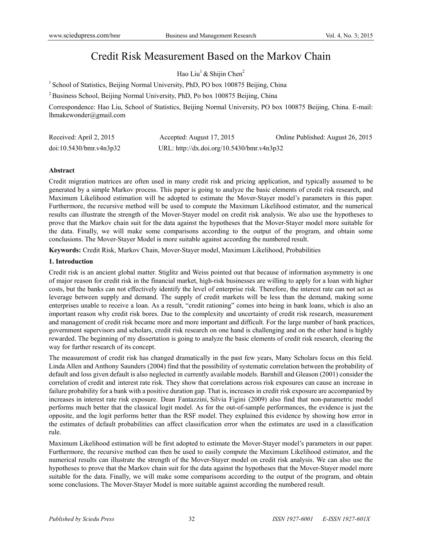# Credit Risk Measurement Based on the Markov Chain

Hao Liu<sup>1</sup> & Shijin Chen<sup>2</sup>

<sup>1</sup> School of Statistics, Beijing Normal University, PhD, PO box 100875 Beijing, China

<sup>2</sup> Business School, Beijing Normal University, PhD, Po box 100875 Beijing, China

Correspondence: Hao Liu, School of Statistics, Beijing Normal University, PO box 100875 Beijing, China. E-mail: lhmakewonder@gmail.com

| Received: April 2, 2015 | Accepted: August 17, 2015                  | Online Published: August 26, 2015 |
|-------------------------|--------------------------------------------|-----------------------------------|
| doi:10.5430/bmr.v4n3p32 | URL: http://dx.doi.org/10.5430/bmr.v4n3p32 |                                   |

## **Abstract**

Credit migration matrices are often used in many credit risk and pricing application, and typically assumed to be generated by a simple Markov process. This paper is going to analyze the basic elements of credit risk research, and Maximum Likelihood estimation will be adopted to estimate the Mover-Stayer model's parameters in this paper. Furthermore, the recursive method will be used to compute the Maximum Likelihood estimator, and the numerical results can illustrate the strength of the Mover-Stayer model on credit risk analysis. We also use the hypotheses to prove that the Markov chain suit for the data against the hypotheses that the Mover-Stayer model more suitable for the data. Finally, we will make some comparisons according to the output of the program, and obtain some conclusions. The Mover-Stayer Model is more suitable against according the numbered result.

**Keywords:** Credit Risk, Markov Chain, Mover-Stayer model, Maximum Likelihood, Probabilities

## **1. Introduction**

Credit risk is an ancient global matter. Stiglitz and Weiss pointed out that because of information asymmetry is one of major reason for credit risk in the financial market, high-risk businesses are willing to apply for a loan with higher costs, but the banks can not effectively identify the level of enterprise risk. Therefore, the interest rate can not act as leverage between supply and demand. The supply of credit markets will be less than the demand, making some enterprises unable to receive a loan. As a result, "credit rationing" comes into being in bank loans, which is also an important reason why credit risk bores. Due to the complexity and uncertainty of credit risk research, measurement and management of credit risk became more and more important and difficult. For the large number of bank practices, government supervisors and scholars, credit risk research on one hand is challenging and on the other hand is highly rewarded. The beginning of my dissertation is going to analyze the basic elements of credit risk research, clearing the way for further research of its concept.

The measurement of credit risk has changed dramatically in the past few years, Many Scholars focus on this field. Linda Allen and Anthony Saunders (2004) find that the possibility of systematic correlation between the probability of default and loss given default is also neglected in currently available models. Barnhill and Gleason (2001) consider the correlation of credit and interest rate risk. They show that correlations across risk exposures can cause an increase in failure probability for a bank with a positive duration gap. That is, increases in credit risk exposure are accompanied by increases in interest rate risk exposure. Dean Fantazzini, Silvia Figini (2009) also find that non-parametric model performs much better that the classical logit model. As for the out-of-sample performances, the evidence is just the opposite, and the logit performs better than the RSF model. They explained this evidence by showing how error in the estimates of default probabilities can affect classification error when the estimates are used in a classification rule.

Maximum Likelihood estimation will be first adopted to estimate the Mover-Stayer model's parameters in our paper. Furthermore, the recursive method can then be used to easily compute the Maximum Likelihood estimator, and the numerical results can illustrate the strength of the Mover-Stayer model on credit risk analysis. We can also use the hypotheses to prove that the Markov chain suit for the data against the hypotheses that the Mover-Stayer model more suitable for the data. Finally, we will make some comparisons according to the output of the program, and obtain some conclusions. The Mover-Stayer Model is more suitable against according the numbered result.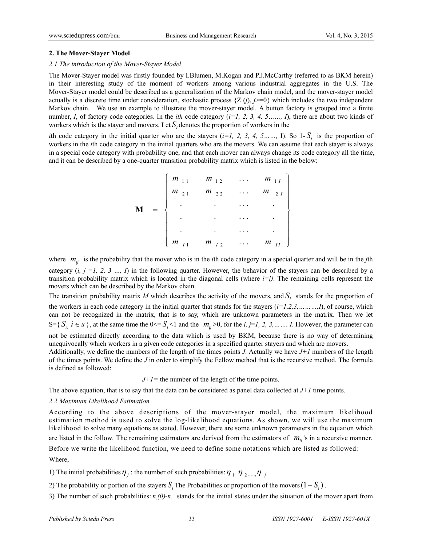#### **2. The Mover-Stayer Model**

#### *2.1 The introduction of the Mover-Stayer Model*

The Mover-Stayer model was firstly founded by I.Blumen, M.Kogan and P.J.McCarthy (referred to as BKM herein) in their interesting study of the moment of workers among various industrial aggregates in the U.S. The Mover-Stayer model could be described as a generalization of the Markov chain model, and the mover-stayer model actually is a discrete time under consideration, stochastic process  $\{Z(j), j \geq 0\}$  which includes the two independent Markov chain. We use an example to illustrate the mover-stayer model. A button factory is grouped into a finite number, *I*, of factory code categories. In the *ith* code category  $(i=1, 2, 3, 4, 5, \ldots, I)$ , there are about two kinds of workers which is the stayer and movers. Let  $S_i$  denotes the proportion of workers in the

*i*th code category in the initial quarter who are the stayers  $(i=1, 2, 3, 4, 5, \ldots)$ . I). So 1- $S_i$  is the proportion of workers in the *i*th code category in the initial quarters who are the movers. We can assume that each stayer is always in a special code category with probability one, and that each mover can always change its code category all the time, and it can be described by a one-quarter transition probability matrix which is listed in the below:

$$
\mathbf{M} = \begin{bmatrix} m_{11} & m_{12} & \dots & m_{1I} \\ m_{21} & m_{22} & \dots & m_{2I} \\ \vdots & \vdots & \ddots & \vdots \\ m_{I1} & m_{I2} & \dots & m_{II} \end{bmatrix}
$$

where  $m_{ij}$  is the probability that the mover who is in the *i*th code category in a special quarter and will be in the *j*th category  $(i, j =1, 2, 3, \ldots, I)$  in the following quarter. However, the behavior of the stayers can be described by a transition probability matrix which is located in the diagonal cells (where *i=j)*. The remaining cells represent the movers which can be described by the Markov chain.

The transition probability matrix *M* which describes the activity of the movers, and  $S_i$  stands for the proportion of the workers in each code category in the initial quarter that stands for the stayers  $(i=1,2,3,......,I)$ , of course, which can not be recognized in the matrix, that is to say, which are unknown parameters in the matrix. Then we let S={ $S_i$ ,  $i \in S$ }, at the same time the 0<= $S_i$ <1 and the  $m_{ii} > 0$ , for the *i*, *j*=*1*, 2, 3, ... *I*. However, the parameter can

not be estimated directly according to the data which is used by BKM, because there is no way of determining unequivocally which workers in a given code categories in a specified quarter stayers and which are movers.

Additionally, we define the numbers of the length of the times points *J*. Actually we have *J+1* numbers of the length of the times points. We define the *J* in order to simplify the Fellow method that is the recursive method. The formula is defined as followed:

*J+1=* the number of the length of the time points.

The above equation, that is to say that the data can be considered as panel data collected at  $J+1$  time points.

#### *2.2 Maximum Likelihood Estimation*

According to the above descriptions of the mover-stayer model, the maximum likelihood estimation method is used to solve the log-likelihood equations. As shown, we will use the maximum likelihood to solve many equations as stated. However, there are some unknown parameters in the equation which are listed in the follow. The remaining estimators are derived from the estimators of  $m_{ii}$ 's in a recursive manner. Before we write the likelihood function, we need to define some notations which are listed as followed: Where,

1) The initial probabilities  $\eta_i$ : the number of such probabilities:  $\eta_1$ ,  $\eta_2$ ,  $\eta_i$ , .

- 2) The probability or portion of the stayers  $S_i$  The Probabilities or proportion of the movers  $(1 S_i)$ .
- 3) The number of such probabilities:  $n_i(0)$ - $n_i$  stands for the initial states under the situation of the mover apart from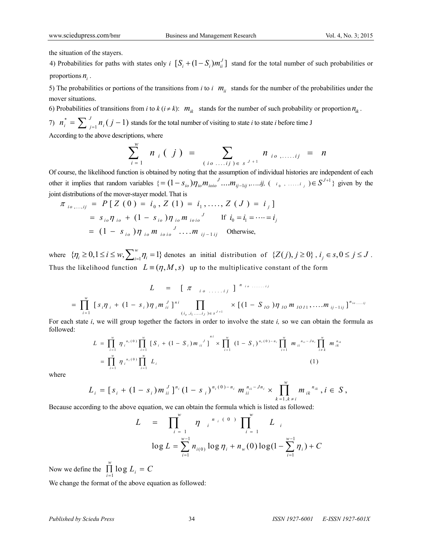the situation of the stayers.

4) Probabilities for paths with states only *i*  $[S_i + (1 - S_i)m_i^J]$  stand for the total number of such probabilities or proportions  $n_i$ .

5) The probabilities or portions of the transitions from *i* to *i*  $m_{ij}$  stands for the number of the probabilities under the mover situations.

6) Probabilities of transitions from *i* to *k* ( $i \neq k$ ):  $m_{ik}$  stands for the number of such probability or proportion  $n_{ik}$ .

7)  $n_i^* = \sum_{j=1}^J n_i (j-1)$  stands for the total number of visiting to state *i* to state *i* before time J According to the above descriptions, where

$$
\sum_{i=1}^{w} n_{i} (j) = \sum_{(i \circ ... i j) \in s^{J+1}} n_{i \circ ... i j} = n
$$

Of course, the likelihood function is obtained by noting that the assumption of individual histories are independent of each other it implies that random variables  $\{=(1 - s_{io})\eta_{io}m_{ioio}^{J} \dots m_{ij-1ij}, \dots ij, (-i_{0}, \dots, i_{j}) \in S^{J+1}\}$  given by the joint distributions of the mover-stayer model. That is

$$
\pi_{i_0, ..., i_j} = P[Z(0) = i_0, Z(1) = i_1, ..., Z(J) = i_j]
$$
  
=  $s_{i_0} \eta_{i_0} + (1 - s_{i_0}) \eta_{i_0} m_{i_0 i_0}^{j}$  If  $i_0 = i_1 = \cdots = i_j$   
=  $(1 - s_{i_0}) \eta_{i_0} m_{i_0 i_0}^{j}$ ....  $m_{i_{j-1} i_j}$  Otherwise,

where  $\{\eta_i \geq 0, 1 \leq i \leq w, \sum_{i=1}^w \eta_i = 1\}$  denotes an initial distribution of  $\{Z(j), j \geq 0\}$ ,  $i_j \in s, 0 \leq j \leq J$ . Thus the likelihood function  $L = (\eta, M, s)$  up to the multiplicative constant of the form

$$
L = \left[ \pi_{i_0, \ldots, i_j} \right]^{n_{i_0, \ldots, i_j}}
$$
  
= 
$$
\prod_{i=1}^w \left[ s_i \eta_i + (1 - s_i) \eta_i m_{ii}^J \right]^{ni} \prod_{(i_0, i_1, \ldots, i_j) \in s^{J+1}} \times \left[ (1 - S_{i_0}) \eta_{i_0} m_{i_0} \eta_1, \ldots m_{i_j - 1} \right]^{n_{i_0, \ldots, i_j}}
$$

For each state *i*, we will group together the factors in order to involve the state *i,* so we can obtain the formula as followed:

$$
L = \prod_{i=1}^{w} \eta_i^{n_i(0)} \prod_{i=1}^{w} \left[ S_i + (1 - S_i) m_{ii}^{J} \right]^{n_i} \times \prod_{i=1}^{w} \left( 1 - S_i \right)^{n_i(0) - n_i} \prod_{i=1}^{w} m_{ii}^{n_{ii} - Jn_i} \prod_{i \neq k}^{w} m_{ik}^{n_{ii}}
$$
  
= 
$$
\prod_{i=1}^{w} \eta_i^{n_i(0)} \prod_{i=1}^{w} L_i
$$
 (1)

where

$$
L_i = [s_i + (1 - s_i) m_{ii}^J]^{n_i} (1 - s_i)^{n_i(0) - n_i} m_{ii}^{n_{ii} - Jn_i} \times \prod_{k=1, k \neq i}^w m_{ik}^{n_{ik}}, i \in S,
$$

Because according to the above equation, we can obtain the formula which is listed as followed:

$$
L = \prod_{i=1}^{w} \eta_i^{n_i(0)} \prod_{i=1}^{w} L_i
$$
  

$$
\log L = \sum_{i=1}^{w-1} n_{i(0)} \log \eta_i + n_w(0) \log(1 - \sum_{i=1}^{w-1} \eta_i) + C
$$

Now we define the  $\prod_{i=1}^{w} \log n$  $\prod_{i=1}$  log  $L_i = C$ 

We change the format of the above equation as followed: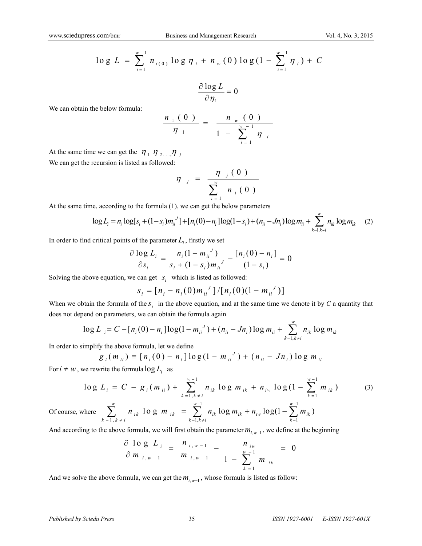$$
\log L = \sum_{i=1}^{w-1} n_{i(0)} \log \eta_i + n_w(0) \log (1 - \sum_{i=1}^{w-1} \eta_i) + C
$$

$$
\frac{\partial \log L}{\partial \eta_1} = 0
$$

We can obtain the below formula:

$$
\frac{n_1(0)}{n_1} = \frac{n_0(0)}{1 - \sum_{i=1}^{w-1} n_i}
$$

At the same time we can get the  $\eta_1$   $\eta_2$ <sub>1</sub>...,  $\eta_j$ 

We can get the recursion is listed as followed:

$$
\eta_{j} = \frac{\eta_{j}(0)}{\sum_{i=1}^{w} n_{i}(0)}
$$

At the same time, according to the formula (1), we can get the below parameters

$$
\log L_i = n_i \log[s_i + (1 - s_i)m_{ii}^{\nu}] + [n_i(0) - n_i] \log(1 - s_i) + (n_{ii} - Jn_i) \log m_{ii} + \sum_{k=1, k \neq i}^{w} n_{ik} \log m_{ik} \quad (2)
$$

In order to find critical points of the parameter  $L_i$ , firstly we set

$$
\frac{\partial \log L_i}{\partial s_i} = \frac{n_i (1 - m_{ii}^{J})}{s_i + (1 - s_i) m_{ii}^{J}} - \frac{[n_i (0) - n_i]}{(1 - s_i)} = 0
$$

Solving the above equation, we can get  $s_i$  which is listed as followed:

$$
s_i = [n_i - n_i(0)m_{ii}^{J}] / [n_i(0)(1 - m_{ii}^{J})]
$$

When we obtain the formula of the  $s_i$  in the above equation, and at the same time we denote it by  $C$  a quantity that does not depend on parameters, we can obtain the formula again

$$
\log L_{i} = C - [n_{i}(0) - n_{i}] \log(1 - m_{ii}^{J}) + (n_{ii} - Jn_{i}) \log m_{ii} + \sum_{k=1, k \neq i}^{w} n_{ik} \log m_{ik}
$$

In order to simplify the above formula, let we define

$$
g_{i}(m_{ii}) \equiv [n_{i}(0) - n_{i}] \log (1 - m_{ii}^{J}) + (n_{ii} - Jn_{i}) \log m_{ii}
$$

For  $i \neq w$ , we rewrite the formula  $\log L_i$  as

$$
\log L_{i} = C - g_{i}(m_{ii}) + \sum_{k=1, k \neq i}^{w-1} n_{ik} \log m_{ik} + n_{iw} \log (1 - \sum_{k=1}^{w-1} m_{ik})
$$
(3)  
se, where 
$$
\sum_{k=1}^{w} n_{ik} \log m_{ik} = \sum_{k=1}^{w-1} n_{ik} \log m_{ik} + n_{iw} \log (1 - \sum_{k=1}^{w-1} m_{ik})
$$

Of cours  $\sum_{k=1, k \neq i}$ *ik ik*  $k = 1, k \neq i$   $k = 1$  $\mu_{ik}$  ivg  $m_{ik}$  +  $n_{iw}$  ivg (1 –  $\sum m_{ik}$  $= \sum n_{ik} \log m_{ik} + n_{iw} \log(1 - \sum$ 

And according to the above formula, we will first obtain the parameter  $m_{i,v-1}$ , we define at the beginning

$$
\frac{\partial \log L_i}{\partial m_{i,w-1}} = \frac{n_{i,w-1}}{m_{i,w-1}} - \frac{n_{iw}}{1 - \sum_{k=1}^{w-1} m_{ik}} = 0
$$

And we solve the above formula, we can get the  $m_{i_{1}w-1}$ , whose formula is listed as follow: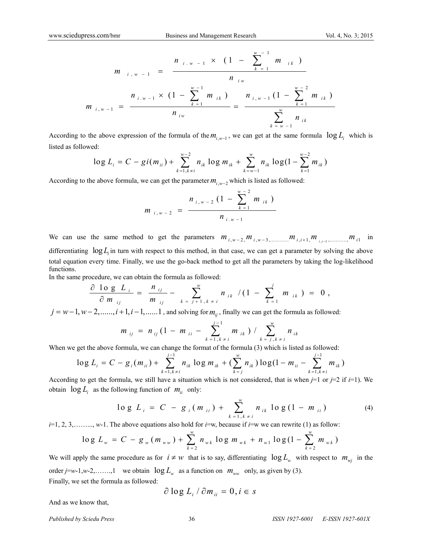$$
m_{i, w-1} = \frac{n_{i, w-1} \times (1 - \sum_{k=1}^{w-1} m_{ik})}{n_{iw}}
$$

$$
m_{i, w-1} = \frac{n_{i, w-1} \times (1 - \sum_{k=1}^{w-1} m_{ik})}{n_{iw}} = \frac{n_{i, w-1} (1 - \sum_{k=1}^{w-2} m_{ik})}{\sum_{k=w-1}^{w} n_{ik}}
$$

According to the above expression of the formula of the  $m_{i,w-1}$ , we can get at the same formula  $\log L_i$  which is listed as followed:

$$
\log L_{i} = C - gi(m_{ii}) + \sum_{k=1, k \neq i}^{w-2} n_{ik} \log m_{ik} + \sum_{k=w-1}^{w} n_{ik} \log (1 - \sum_{k=1}^{w-2} m_{ik})
$$

According to the above formula, we can get the parameter  $m_{i,w-2}$  which is listed as followed:

$$
m_{i,w-2} = \frac{n_{i,w-2} (1 - \sum_{k=1}^{w-2} m_{ik})}{n_{i,w-1}}
$$

We can use the same method to get the parameters  $m_{i,w-2}, m_{i,w-3, \dots}$   $m_{i,i+1}, m_{i,i+1}, \dots, m_{i+1}$  in differentiating  $\log L_i$  in turn with respect to this method, in that case, we can get a parameter by solving the above total equation every time. Finally, we use the go-back method to get all the parameters by taking the log-likelihood functions.

In the same procedure, we can obtain the formula as followed:

$$
\frac{\partial \log L_i}{\partial m_{ij}} = \frac{n_{ij}}{m_{ij}} - \sum_{k=j+1, k \neq i}^{w} n_{ik} / (1 - \sum_{k=1}^{j} m_{ik}) = 0,
$$

 $j = w-1, w-2, \ldots, i+1, i-1, \ldots, 1$ , and solving for  $m_{ij}$ , finally we can get the formula as followed:

$$
m_{ij} = n_{ij} (1 - m_{ii} - \sum_{k=1, k \neq i}^{j-1} m_{ik}) / \sum_{k=j, k \neq i}^{w} n_{ik}
$$

When we get the above formula, we can change the format of the formula (3) which is listed as followed:

$$
\log L_i = C - g_i(m_{ii}) + \sum_{k=1, k \neq i}^{j-1} n_{ik} \log m_{ik} + (\sum_{k=j}^{w} n_{ik}) \log (1 - m_{ii} - \sum_{k=1, k \neq i}^{j-1} m_{ik})
$$

According to get the formula, we still have a situation which is not considered, that is when  $j=1$  or  $j=2$  if  $i=1$ ). We obtain  $\log L_i$  as the following function of  $m_{ii}$  only:

$$
\log L_{i} = C - g_{i} (m_{ii}) + \sum_{k=1, k \neq i}^{w} n_{ik} \log (1 - m_{ii}) \tag{4}
$$

 $i=1, 2, 3, \ldots, w-1$ . The above equations also hold for  $i=w$ , because if  $i=w$  we can rewrite (1) as follow:

$$
\log L_{w} = C - g_{w}(m_{ww}) + \sum_{k=2}^{w} n_{wk} \log m_{wk} + n_{w1} \log (1 - \sum_{k=2}^{w} m_{wk})
$$

We will apply the same procedure as for  $i \neq w$  that is to say, differentiating  $\log L_w$  with respect to  $m_{wi}$  in the order *j*=*w*-1,*w*-2,…….,1 we obtain  $\log L_w$  as a function on  $m_{ww}$  only, as given by (3).

Finally, we set the formula as followed:

$$
\partial \log L_i / \partial m_{ii} = 0, i \in s
$$

And as we know that,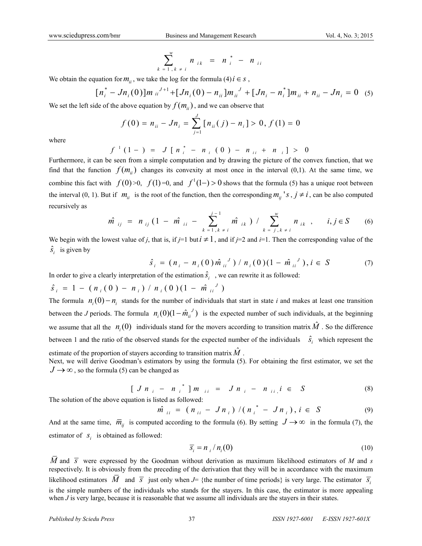$$
\sum_{k=1, k \neq i}^{w} n_{ik} = n_{i}^{*} - n_{ii}
$$

We obtain the equation for  $m_{ii}$ , we take the log for the formula (4)  $i \in s$ ,

$$
[n_i^* - Jn_i(0)]m_{ii}^{J+1} + [Jn_i(0) - n_{ii}]m_{ii}^{J} + [Jn_i - n_i^*]m_{ii} + n_{ii} - Jn_i = 0
$$
 (5)

We set the left side of the above equation by  $f(m_{ii})$ , and we can observe that

$$
f(0) = n_{ii} - Jn_i = \sum_{j=1}^{J} [n_{ii}(j) - n_i] > 0, f(1) = 0
$$

where  

$$
f^{-1}(1-) = J[n_i^* - n_i(0) - n_{ii} + n_i] > 0
$$

Furthermore, it can be seen from a simple computation and by drawing the picture of the convex function, that we find that the function  $f(m_{ii})$  changes its convexity at most once in the interval (0,1). At the same time, we combine this fact with  $f(0) > 0$ ,  $f(1)=0$ , and  $f'(1-) > 0$  shows that the formula (5) has a unique root between the interval (0, 1). But if  $m_{ii}$  is the root of the function, then the corresponding  $m_{ii}$ 's,  $j \neq i$ , can be also computed recursively as

$$
\hat{m}_{ij} = n_{ij} \left(1 - \hat{m}_{ii} - \sum_{k=1, k \neq i}^{j-1} \hat{m}_{ik}\right) / \sum_{k=j, k \neq i}^{w} n_{ik}, \quad i, j \in S \qquad (6)
$$

We begin with the lowest value of *j*, that is, if  $j=1$  but  $i \neq 1$ , and if  $j=2$  and  $i=1$ . Then the corresponding value of the  $\hat{s}_i$  is given by

$$
\hat{s}_i = (n_i - n_i(0) \hat{m}_{ii}^{J}) / n_i(0) (1 - \hat{m}_{ii}^{J}), i \in S \tag{7}
$$

In order to give a clearly interpretation of the estimation  $\hat{S}_i$ , we can rewrite it as followed:

$$
\hat{s}_i = 1 - (n_i(0) - n_i) / n_i(0) (1 - \hat{m}_{ii}^{J})
$$

The formula  $n_i(0) - n_i$  stands for the number of individuals that start in state *i* and makes at least one transition between the *J* periods. The formula  $n_i(0)(1 - \hat{m}_{ii}^J)$  is the expected number of such individuals, at the beginning we assume that all the  $n_i(0)$  individuals stand for the movers according to transition matrix  $\hat{M}$ . So the difference between 1 and the ratio of the observed stands for the expected number of the individuals  $\hat{s}_i$  which represent the estimate of the proportion of stayers according to transition matrix  $\hat{M}$ .

Next, we will derive Goodman's estimators by using the formula (5). For obtaining the first estimator, we set the  $J \rightarrow \infty$ , so the formula (5) can be changed as

$$
\left[\begin{array}{cccc}J & n_{i} & -n_{i}^{*}\end{array}\right]m_{ii} = Jn_{i} - n_{ii}^{*}, i \in S \tag{8}
$$

The solution of the above equation is listed as followed:

$$
\hat{m}_{ii} = (n_{ii} - Jn_i) / (n_i^* - Jn_i), i \in S \tag{9}
$$

And at the same time,  $\overline{m}_{ii}$  is computed according to the formula (6). By setting  $J \to \infty$  in the formula (7), the estimator of  $S_i$  is obtained as followed:

$$
\overline{s_i} = n_i / n_i(0) \tag{10}
$$

*M* and *s* were expressed by the Goodman without derivation as maximum likelihood estimators of *M* and *s* respectively. It is obviously from the preceding of the derivation that they will be in accordance with the maximum likelihood estimators  $\overline{M}$  and  $\overline{S}$  just only when *J*= {the number of time periods} is very large. The estimator  $\overline{S}$ . is the simple numbers of the individuals who stands for the stayers. In this case, the estimator is more appealing when *J* is very large, because it is reasonable that we assume all individuals are the stayers in their states.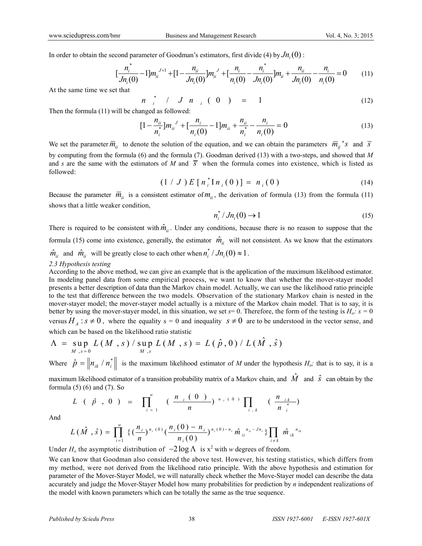In order to obtain the second parameter of Goodman's estimators, first divide (4) by  $Jn_i(0)$  *i* 

$$
\left[\frac{n_i^*}{Jn_i(0)} - 1\right]m_{ii}^{J+1} + \left[1 - \frac{n_{ii}}{Jn_i(0)}\right]m_{ii}^{J} + \left[\frac{n_i}{n_i(0)} - \frac{n_i^*}{Jn_i(0)}\right]m_{ii} + \frac{n_{ii}}{Jn_i(0)} - \frac{n_i}{n_i(0)} = 0\tag{11}
$$

At the same time we set that  
\n
$$
n \frac{\pi}{i} / J n \frac{\pi}{i} (0) = 1
$$
\n(12)

Then the formula (11) will be changed as followed:

$$
[1 - \frac{n_{ii}}{n_i^*}]m_{ii}^J + [\frac{n_i}{n_i(0)} - 1]m_{ii} + \frac{n_{ii}}{n_i^*} - \frac{n_i}{n_i(0)} = 0
$$
 (13)

We set the parameter  $\overline{m}_{ii}$  to denote the solution of the equation, and we can obtain the parameters  $\overline{m}_{ii}$ 's and  $\overline{s}$ by computing from the formula (6) and the formula (7). Goodman derived (13) with a two-steps, and showed that *M*  and *s* are the same with the estimators of *M* and  $\overline{s}$  when the formula comes into existence, which is listed as followed:<br>  $(1 / J) E [n_i^* In_i(0)] = n_i(0)$  (14)

$$
(1 / J) E [n_i^* \mathbf{I} n_i(0)] = n_i(0) \tag{14}
$$

Because the parameter  $\overline{m}_{ii}$  is a consistent estimator of  $m_{ii}$ , the derivation of formula (13) from the formula (11) shows that a little weaker condition,

$$
n_i^* / Jn_i(0) \to 1 \tag{15}
$$

There is required to be consistent with  $\hat{m}_{ij}$ . Under any conditions, because there is no reason to suppose that the formula (15) come into existence, generally, the estimator  $\hat{m}_{ii}$  will not consistent. As we know that the estimators  $\hat{m}_{ii}$  and  $\hat{m}_{ii}$  will be greatly close to each other when  $n_i^* / Jn_i(0) \approx 1$ .

#### *2.3 Hypothesis testing*

According to the above method, we can give an example that is the application of the maximum likelihood estimator. In modeling panel data from some empirical process, we want to know that whether the mover-stayer model presents a better description of data than the Markov chain model. Actually, we can use the likelihood ratio principle to the test that difference between the two models. Observation of the stationary Markov chain is nested in the mover-stayer model; the mover-stayer model actually is a mixture of the Markov chain model. That is to say, it is better by using the mover-stayer model, in this situation, we set  $s=0$ . Therefore, the form of the testing is  $H_o$ :  $s=0$ versus  $H_A$ :  $s \neq 0$ , where the equality  $s = 0$  and inequality  $s \neq 0$  are to be understood in the vector sense, and which can be based on the likelihood ratio statistic

$$
\Lambda = \sup_{M, s=0} L(M, s) / \sup_{M, s} L(M, s) = L(\hat{p}, 0) / L(\hat{M}, \hat{s})
$$

Where  $\hat{p} = \|n_{ik} / n_i^*\|$  is the maximum likelihood estimator of *M* under the hypothesis  $H_o$ ; that is to say, it is a

maximum likelihood estimator of a transition probability matrix of a Markov chain, and  $\hat{M}$  and  $\hat{S}$  can obtain by the formula (5) (6) and (7). So

$$
L(\hat{p}, 0) = \prod_{i=1}^{w} (\frac{n_i(0)}{n})^{n_i(0)} \prod_{i,k} (\frac{n_{ik}}{n_{i}})
$$

And

$$
L(\hat{M},\hat{s})=\prod_{i=1}^{w}\left\{(\frac{n_{i}}{n})^{n_{i}(0)}(\frac{n_{i}(0)-n_{i}}{n_{i}(0)})^{n_{i}(0)-n_{i}}\hat{m}_{ii}^{n_{ii}-Jn_{i}}\right\}\prod_{i\neq k}\hat{m}_{ik}^{n_{ik}}
$$

Under  $H_0$  the asymptotic distribution of  $-2 \log \Lambda$  is x<sup>2</sup> with *w* degrees of freedom.

We can know that Goodman also considered the above test. However, his testing statistics, which differs from my method, were not derived from the likelihood ratio principle. With the above hypothesis and estimation for parameter of the Mover-Stayer Model, we will naturally check whether the Move-Stayer model can describe the data accurately and judge the Mover-Stayer Model how many probabilities for prediction by *n* independent realizations of the model with known parameters which can be totally the same as the true sequence.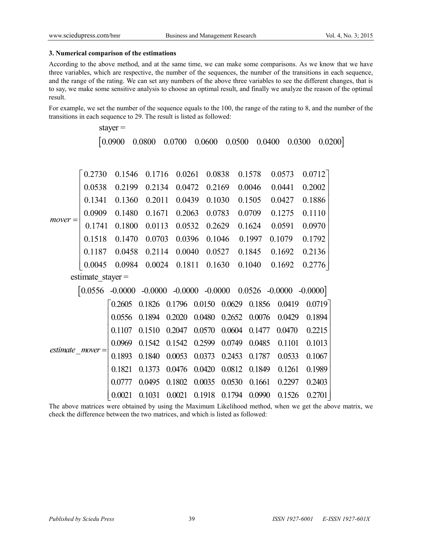## **3. Numerical comparison of the estimations**

 $stayer =$ 

According to the above method, and at the same time, we can make some comparisons. As we know that we have three variables, which are respective, the number of the sequences, the number of the transitions in each sequence, and the range of the rating. We can set any numbers of the above three variables to see the different changes, that is to say, we make some sensitive analysis to choose an optimal result, and finally we analyze the reason of the optimal result.

For example, we set the number of the sequence equals to the 100, the range of the rating to 8, and the number of the transitions in each sequence to 29. The result is listed as followed:

|                                 |                     | [0.0900] | 0.0800 | 0.0700 | 0.0600 | 0.0500 | 0.0400 | 0.0300                                                                                                      | 0.0200 |
|---------------------------------|---------------------|----------|--------|--------|--------|--------|--------|-------------------------------------------------------------------------------------------------------------|--------|
|                                 |                     |          |        |        |        |        |        |                                                                                                             |        |
|                                 | 0.2730              | 0.1546   | 0.1716 | 0.0261 | 0.0838 | 0.1578 |        | 0.0573                                                                                                      | 0.0712 |
|                                 | 0.0538              | 0.2199   | 0.2134 | 0.0472 | 0.2169 | 0.0046 |        | 0.0441                                                                                                      | 0.2002 |
|                                 | 0.1341              | 0.1360   | 0.2011 | 0.0439 | 0.1030 | 0.1505 |        | 0.0427                                                                                                      | 0.1886 |
|                                 | 0.0909              | 0.1480   | 0.1671 | 0.2063 | 0.0783 | 0.0709 |        | 0.1275                                                                                                      | 0.1110 |
| $mover =$                       | 0.1741              | 0.1800   | 0.0113 | 0.0532 | 0.2629 | 0.1624 |        | 0.0591                                                                                                      | 0.0970 |
|                                 | 0.1518              | 0.1470   | 0.0703 | 0.0396 | 0.1046 |        | 0.1997 | 0.1079                                                                                                      | 0.1792 |
|                                 | 0.1187              | 0.0458   | 0.2114 | 0.0040 | 0.0527 | 0.1845 |        | 0.1692                                                                                                      | 0.2136 |
|                                 | 0.0045              | 0.0984   | 0.0024 | 0.1811 | 0.1630 | 0.1040 |        | 0.1692                                                                                                      | 0.2776 |
|                                 | estimate stayer $=$ |          |        |        |        |        |        |                                                                                                             |        |
|                                 |                     |          |        |        |        |        |        | $\begin{bmatrix} 0.0556 & -0.0000 & -0.0000 & -0.0000 & -0.0000 & 0.0526 & -0.0000 & -0.0000 \end{bmatrix}$ |        |
|                                 |                     | 0.2605   | 0.1826 | 0.1796 | 0.0150 | 0.0629 | 0.1856 | 0.0419                                                                                                      | 0.0719 |
|                                 |                     | 0.0556   | 0.1894 | 0.2020 | 0.0480 | 0.2652 | 0.0076 | 0.0429                                                                                                      | 0.1894 |
| $estimate$ <sub>_</sub> mover = | 0.1107              | 0.1510   | 0.2047 | 0.0570 | 0.0604 | 0.1477 | 0.0470 | 0.2215                                                                                                      |        |
|                                 | 0.0969              | 0.1542   | 0.1542 | 0.2599 | 0.0749 | 0.0485 | 0.1101 | 0.1013                                                                                                      |        |
|                                 |                     | 0.1893   | 0.1840 | 0.0053 | 0.0373 | 0.2453 | 0.1787 | 0.0533                                                                                                      | 0.1067 |
|                                 |                     | 0.1821   | 0.1373 | 0.0476 | 0.0420 | 0.0812 | 0.1849 | 0.1261                                                                                                      | 0.1989 |
|                                 |                     | 0.0777   | 0.0495 | 0.1802 | 0.0035 | 0.0530 | 0.1661 | 0.2297                                                                                                      | 0.2403 |
|                                 |                     | 0.0021   | 0.1031 | 0.0021 | 0.1918 | 0.1794 | 0.0990 | 0.1526                                                                                                      | 0.2701 |

The above matrices were obtained by using the Maximum Likelihood method, when we get the above matrix, we check the difference between the two matrices, and which is listed as followed: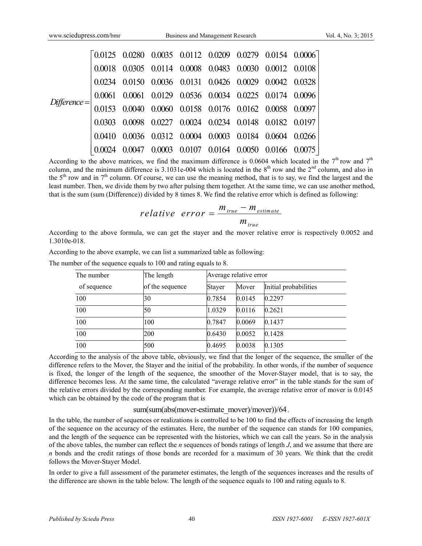|                                                                                                                                                                                             |  |                                                                                                     |  |  | $\vert 0.0125 \vert 0.0280 \vert 0.0035 \vert 0.0112 \vert 0.0209 \vert 0.0279 \vert 0.0154 \vert 0.0006 \vert$ |
|---------------------------------------------------------------------------------------------------------------------------------------------------------------------------------------------|--|-----------------------------------------------------------------------------------------------------|--|--|-----------------------------------------------------------------------------------------------------------------|
| $Difference = \begin{vmatrix} 0.0061 & 0.0061 & 0.0129 & 0.0536 & 0.0034 & 0.0225 & 0.0174 & 0.0096 \\ 0.0153 & 0.0040 & 0.0060 & 0.0158 & 0.0176 & 0.0162 & 0.0058 & 0.0097 \end{vmatrix}$ |  | $0.0018$ $0.0305$ $0.0114$ $0.0008$ $0.0483$ $0.0030$ $0.0012$ $0.0108$                             |  |  |                                                                                                                 |
|                                                                                                                                                                                             |  | $0.0234 \quad 0.0150 \quad 0.0036 \quad 0.0131 \quad 0.0426 \quad 0.0029 \quad 0.0042 \quad 0.0328$ |  |  |                                                                                                                 |
|                                                                                                                                                                                             |  |                                                                                                     |  |  |                                                                                                                 |
|                                                                                                                                                                                             |  |                                                                                                     |  |  |                                                                                                                 |
|                                                                                                                                                                                             |  | $0.0303$ $0.0098$ $0.0227$ $0.0024$ $0.0234$ $0.0148$ $0.0182$ $0.0197$                             |  |  |                                                                                                                 |
|                                                                                                                                                                                             |  | $0.0410$ $0.0036$ $0.0312$ $0.0004$ $0.0003$ $0.0184$ $0.0604$ $0.0266$                             |  |  |                                                                                                                 |
|                                                                                                                                                                                             |  |                                                                                                     |  |  | $[0.0024 \quad 0.0047 \quad 0.0003 \quad 0.0107 \quad 0.0164 \quad 0.0050 \quad 0.0166 \quad 0.0075]$           |

According to the above matrices, we find the maximum difference is 0.0604 which located in the  $7<sup>th</sup>$  row and  $7<sup>th</sup>$ column, and the minimum difference is 3.1031e-004 which is located in the  $8<sup>th</sup>$  row and the  $2<sup>nd</sup>$  column, and also in the  $5<sup>th</sup>$  row and in  $7<sup>th</sup>$  column. Of course, we can use the meaning method, that is to say, we find the largest and the least number. Then, we divide them by two after pulsing them together. At the same time, we can use another method, that is the sum (sum (Difference)) divided by 8 times 8. We find the relative error which is defined as following:

$$
relative\ error = \frac{m_{true} - m_{estimate}}{m_{true}}
$$

According to the above formula, we can get the stayer and the mover relative error is respectively 0.0052 and 1.3010e-018.

According to the above example, we can list a summarized table as following:

|  | The number of the sequence equals to 100 and rating equals to 8. |
|--|------------------------------------------------------------------|
|  |                                                                  |

| The number  | The length      | Average relative error |        |                       |  |
|-------------|-----------------|------------------------|--------|-----------------------|--|
| of sequence | of the sequence | Stayer                 | Mover  | Initial probabilities |  |
| 100         | 30              | 0.7854                 | 0.0145 | 0.2297                |  |
| 100         | 50              | 1.0329                 | 0.0116 | 0.2621                |  |
| 100         | 100             | 0.7847                 | 0.0069 | 0.1437                |  |
| 100         | 200             | 0.6430                 | 0.0052 | 0.1428                |  |
| 100         | 500             | 0.4695                 | 0.0038 | 0.1305                |  |

According to the analysis of the above table, obviously, we find that the longer of the sequence, the smaller of the difference refers to the Mover, the Stayer and the initial of the probability. In other words, if the number of sequence is fixed, the longer of the length of the sequence, the smoother of the Mover-Stayer model, that is to say, the difference becomes less. At the same time, the calculated "average relative error" in the table stands for the sum of the relative errors divided by the corresponding number. For example, the average relative error of mover is 0.0145 which can be obtained by the code of the program that is

## sum(sum(abs(mover-estimate\_mover)/mover))/64.

In the table, the number of sequences or realizations is controlled to be 100 to find the effects of increasing the length of the sequence on the accuracy of the estimates. Here, the number of the sequence can stands for 100 companies, and the length of the sequence can be represented with the histories, which we can call the years. So in the analysis of the above tables, the number can reflect the *n* sequences of bonds ratings of length *J*, and we assume that there are *n* bonds and the credit ratings of those bonds are recorded for a maximum of 30 years. We think that the credit follows the Mover-Stayer Model.

In order to give a full assessment of the parameter estimates, the length of the sequences increases and the results of the difference are shown in the table below. The length of the sequence equals to 100 and rating equals to 8.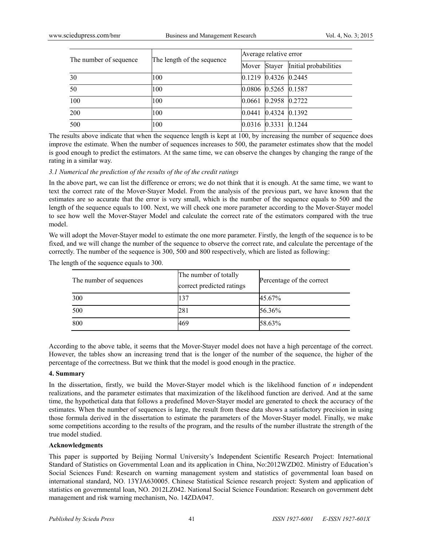| The number of sequence | The length of the sequence |                        | Average relative error     |                       |  |  |
|------------------------|----------------------------|------------------------|----------------------------|-----------------------|--|--|
|                        |                            | Mover Stayer           |                            | Initial probabilities |  |  |
| 30                     | 100                        | $0.1219$ 0.4326 0.2445 |                            |                       |  |  |
| 50                     | 100                        | $0.0806$ 0.5265 0.1587 |                            |                       |  |  |
| 100                    | 100                        | 0.0661 0.2958 0.2722   |                            |                       |  |  |
| 200                    | 100                        |                        | $0.0441$ $0.4324$ $0.1392$ |                       |  |  |
| 500                    | 100                        | 0.0316 0.3331 0.1244   |                            |                       |  |  |

The results above indicate that when the sequence length is kept at 100, by increasing the number of sequence does improve the estimate. When the number of sequences increases to 500, the parameter estimates show that the model is good enough to predict the estimators. At the same time, we can observe the changes by changing the range of the rating in a similar way.

### *3.1 Numerical the prediction of the results of the of the credit ratings*

In the above part, we can list the difference or errors; we do not think that it is enough. At the same time, we want to text the correct rate of the Mover-Stayer Model. From the analysis of the previous part, we have known that the estimates are so accurate that the error is very small, which is the number of the sequence equals to 500 and the length of the sequence equals to 100. Next, we will check one more parameter according to the Mover-Stayer model to see how well the Mover-Stayer Model and calculate the correct rate of the estimators compared with the true model.

We will adopt the Mover-Stayer model to estimate the one more parameter. Firstly, the length of the sequence is to be fixed, and we will change the number of the sequence to observe the correct rate, and calculate the percentage of the correctly. The number of the sequence is 300, 500 and 800 respectively, which are listed as following:

The length of the sequence equals to 300.

| The number of sequences | The number of totally<br>correct predicted ratings | Percentage of the correct |  |
|-------------------------|----------------------------------------------------|---------------------------|--|
| 300                     | 137                                                | 45.67%                    |  |
| 500                     | 281                                                | 56.36%                    |  |
| 800                     | 469                                                | 58.63%                    |  |

According to the above table, it seems that the Mover-Stayer model does not have a high percentage of the correct. However, the tables show an increasing trend that is the longer of the number of the sequence, the higher of the percentage of the correctness. But we think that the model is good enough in the practice.

## **4. Summary**

In the dissertation, firstly, we build the Mover-Stayer model which is the likelihood function of *n* independent realizations, and the parameter estimates that maximization of the likelihood function are derived. And at the same time, the hypothetical data that follows a predefined Mover-Stayer model are generated to check the accuracy of the estimates. When the number of sequences is large, the result from these data shows a satisfactory precision in using those formula derived in the dissertation to estimate the parameters of the Mover-Stayer model. Finally, we make some competitions according to the results of the program, and the results of the number illustrate the strength of the true model studied.

#### **Acknowledgments**

This paper is supported by Beijing Normal University's Independent Scientific Research Project: International Standard of Statistics on Governmental Loan and its application in China, No:2012WZD02. Ministry of Education's Social Sciences Fund: Research on warning management system and statistics of governmental loan based on international standard, NO. 13YJA630005. Chinese Statistical Science research project: System and application of statistics on governmental loan, NO. 2012LZ042. National Social Science Foundation: Research on government debt management and risk warning mechanism, No. 14ZDA047.